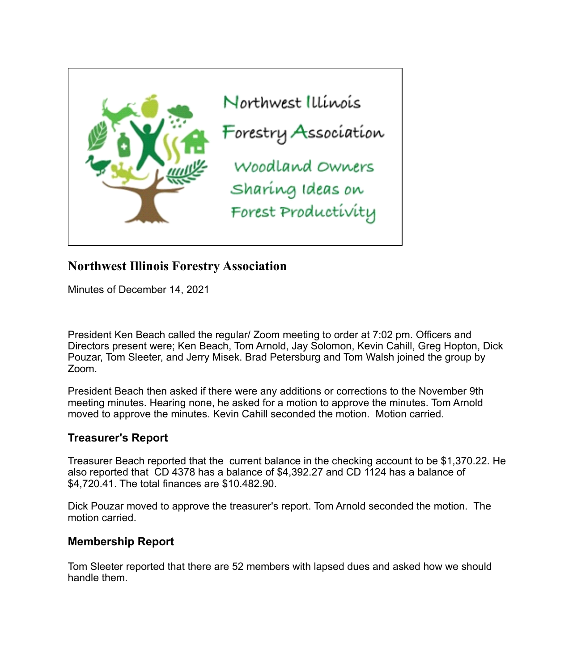

# **Northwest Illinois Forestry Association**

Minutes of December 14, 2021

President Ken Beach called the regular/ Zoom meeting to order at 7:02 pm. Officers and Directors present were; Ken Beach, Tom Arnold, Jay Solomon, Kevin Cahill, Greg Hopton, Dick Pouzar, Tom Sleeter, and Jerry Misek. Brad Petersburg and Tom Walsh joined the group by Zoom.

President Beach then asked if there were any additions or corrections to the November 9th meeting minutes. Hearing none, he asked for a motion to approve the minutes. Tom Arnold moved to approve the minutes. Kevin Cahill seconded the motion. Motion carried.

# **Treasurer's Report**

Treasurer Beach reported that the current balance in the checking account to be \$1,370.22. He also reported that CD 4378 has a balance of \$4,392.27 and CD 1124 has a balance of \$4,720.41. The total finances are \$10.482.90.

Dick Pouzar moved to approve the treasurer's report. Tom Arnold seconded the motion. The motion carried.

# **Membership Report**

Tom Sleeter reported that there are 52 members with lapsed dues and asked how we should handle them.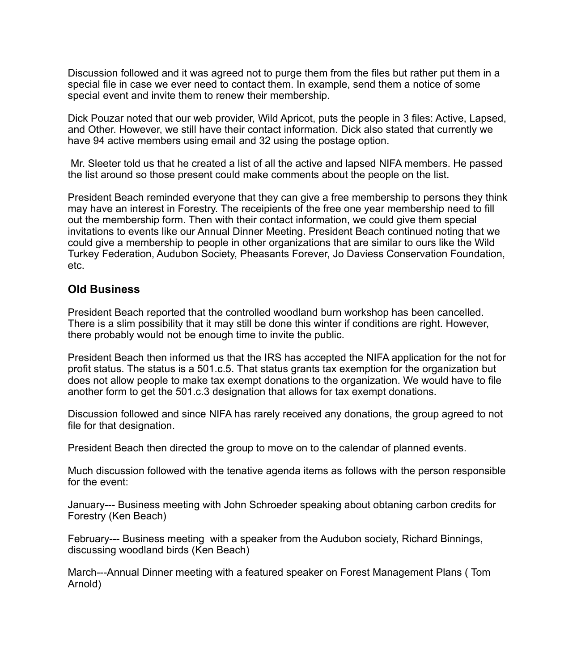Discussion followed and it was agreed not to purge them from the files but rather put them in a special file in case we ever need to contact them. In example, send them a notice of some special event and invite them to renew their membership.

Dick Pouzar noted that our web provider, Wild Apricot, puts the people in 3 files: Active, Lapsed, and Other. However, we still have their contact information. Dick also stated that currently we have 94 active members using email and 32 using the postage option.

 Mr. Sleeter told us that he created a list of all the active and lapsed NIFA members. He passed the list around so those present could make comments about the people on the list.

President Beach reminded everyone that they can give a free membership to persons they think may have an interest in Forestry. The receipients of the free one year membership need to fill out the membership form. Then with their contact information, we could give them special invitations to events like our Annual Dinner Meeting. President Beach continued noting that we could give a membership to people in other organizations that are similar to ours like the Wild Turkey Federation, Audubon Society, Pheasants Forever, Jo Daviess Conservation Foundation, etc.

### **Old Business**

President Beach reported that the controlled woodland burn workshop has been cancelled. There is a slim possibility that it may still be done this winter if conditions are right. However, there probably would not be enough time to invite the public.

President Beach then informed us that the IRS has accepted the NIFA application for the not for profit status. The status is a 501.c.5. That status grants tax exemption for the organization but does not allow people to make tax exempt donations to the organization. We would have to file another form to get the 501.c.3 designation that allows for tax exempt donations.

Discussion followed and since NIFA has rarely received any donations, the group agreed to not file for that designation.

President Beach then directed the group to move on to the calendar of planned events.

Much discussion followed with the tenative agenda items as follows with the person responsible for the event:

January--- Business meeting with John Schroeder speaking about obtaning carbon credits for Forestry (Ken Beach)

February--- Business meeting with a speaker from the Audubon society, Richard Binnings, discussing woodland birds (Ken Beach)

March---Annual Dinner meeting with a featured speaker on Forest Management Plans ( Tom Arnold)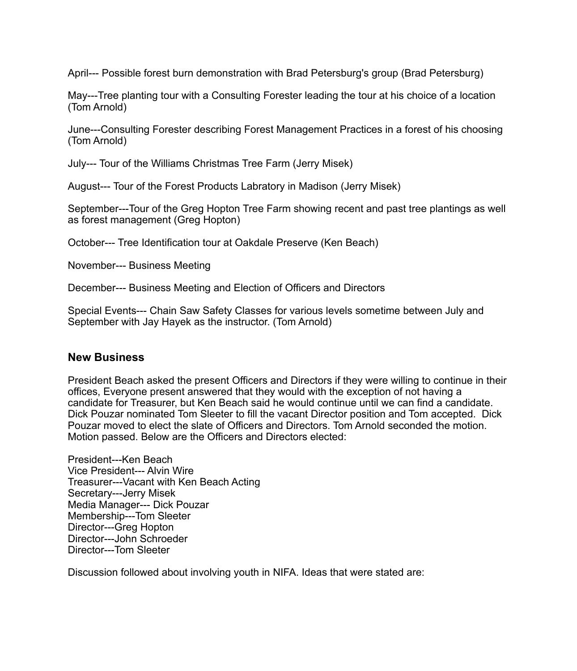April--- Possible forest burn demonstration with Brad Petersburg's group (Brad Petersburg)

May---Tree planting tour with a Consulting Forester leading the tour at his choice of a location (Tom Arnold)

June---Consulting Forester describing Forest Management Practices in a forest of his choosing (Tom Arnold)

July--- Tour of the Williams Christmas Tree Farm (Jerry Misek)

August--- Tour of the Forest Products Labratory in Madison (Jerry Misek)

September---Tour of the Greg Hopton Tree Farm showing recent and past tree plantings as well as forest management (Greg Hopton)

October--- Tree Identification tour at Oakdale Preserve (Ken Beach)

November--- Business Meeting

December--- Business Meeting and Election of Officers and Directors

Special Events--- Chain Saw Safety Classes for various levels sometime between July and September with Jay Hayek as the instructor. (Tom Arnold)

### **New Business**

President Beach asked the present Officers and Directors if they were willing to continue in their offices, Everyone present answered that they would with the exception of not having a candidate for Treasurer, but Ken Beach said he would continue until we can find a candidate. Dick Pouzar nominated Tom Sleeter to fill the vacant Director position and Tom accepted. Dick Pouzar moved to elect the slate of Officers and Directors. Tom Arnold seconded the motion. Motion passed. Below are the Officers and Directors elected:

President---Ken Beach Vice President--- Alvin Wire Treasurer---Vacant with Ken Beach Acting Secretary---Jerry Misek Media Manager--- Dick Pouzar Membership---Tom Sleeter Director---Greg Hopton Director---John Schroeder Director---Tom Sleeter

Discussion followed about involving youth in NIFA. Ideas that were stated are: